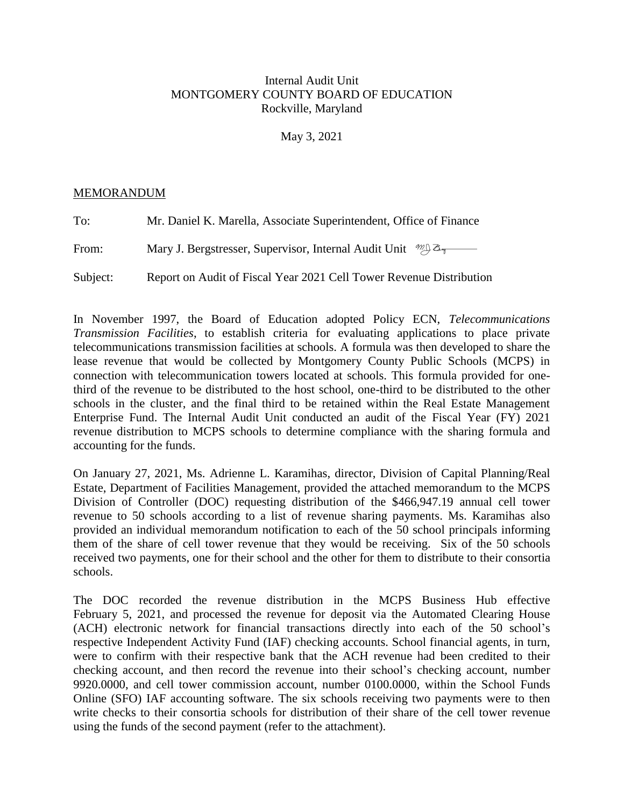# Internal Audit Unit MONTGOMERY COUNTY BOARD OF EDUCATION Rockville, Maryland

May 3, 2021

## MEMORANDUM

| To:      | Mr. Daniel K. Marella, Associate Superintendent, Office of Finance            |  |  |
|----------|-------------------------------------------------------------------------------|--|--|
| From:    | Mary J. Bergstresser, Supervisor, Internal Audit Unit $\mathcal{W}^{\otimes}$ |  |  |
| Subject: | Report on Audit of Fiscal Year 2021 Cell Tower Revenue Distribution           |  |  |

In November 1997, the Board of Education adopted Policy ECN, *Telecommunications Transmission Facilities*, to establish criteria for evaluating applications to place private telecommunications transmission facilities at schools. A formula was then developed to share the lease revenue that would be collected by Montgomery County Public Schools (MCPS) in connection with telecommunication towers located at schools. This formula provided for onethird of the revenue to be distributed to the host school, one-third to be distributed to the other schools in the cluster, and the final third to be retained within the Real Estate Management Enterprise Fund. The Internal Audit Unit conducted an audit of the Fiscal Year (FY) 2021 revenue distribution to MCPS schools to determine compliance with the sharing formula and accounting for the funds.

On January 27, 2021, Ms. Adrienne L. Karamihas, director, Division of Capital Planning/Real Estate, Department of Facilities Management, provided the attached memorandum to the MCPS Division of Controller (DOC) requesting distribution of the \$466,947.19 annual cell tower revenue to 50 schools according to a list of revenue sharing payments. Ms. Karamihas also provided an individual memorandum notification to each of the 50 school principals informing them of the share of cell tower revenue that they would be receiving. Six of the 50 schools received two payments, one for their school and the other for them to distribute to their consortia schools.

The DOC recorded the revenue distribution in the MCPS Business Hub effective February 5, 2021, and processed the revenue for deposit via the Automated Clearing House (ACH) electronic network for financial transactions directly into each of the 50 school's respective Independent Activity Fund (IAF) checking accounts. School financial agents, in turn, were to confirm with their respective bank that the ACH revenue had been credited to their checking account, and then record the revenue into their school's checking account, number 9920.0000, and cell tower commission account, number 0100.0000, within the School Funds Online (SFO) IAF accounting software. The six schools receiving two payments were to then write checks to their consortia schools for distribution of their share of the cell tower revenue using the funds of the second payment (refer to the attachment).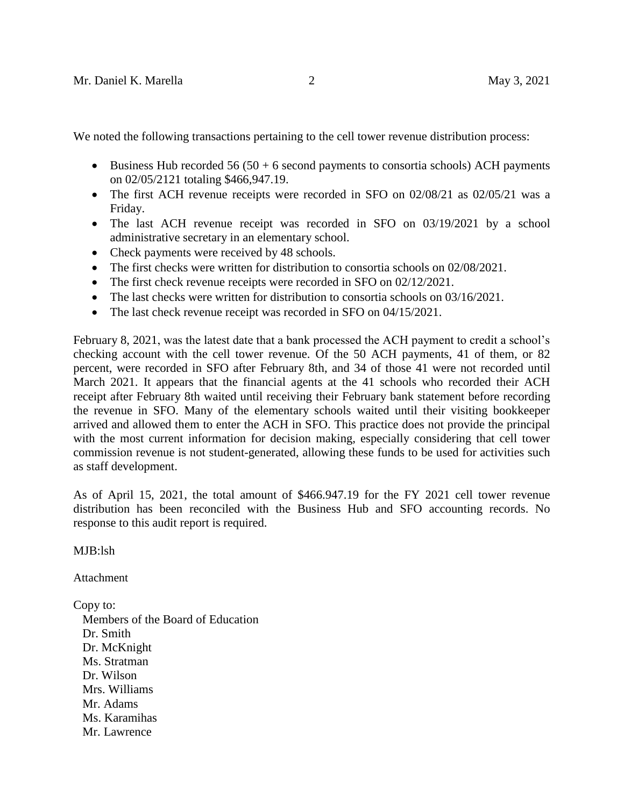We noted the following transactions pertaining to the cell tower revenue distribution process:

- Business Hub recorded  $56 (50 + 6$  second payments to consortia schools) ACH payments on 02/05/2121 totaling \$466,947.19.
- The first ACH revenue receipts were recorded in SFO on 02/08/21 as 02/05/21 was a Friday.
- The last ACH revenue receipt was recorded in SFO on 03/19/2021 by a school administrative secretary in an elementary school.
- Check payments were received by 48 schools.
- The first checks were written for distribution to consortia schools on 02/08/2021.
- The first check revenue receipts were recorded in SFO on 02/12/2021.
- The last checks were written for distribution to consortia schools on 03/16/2021.
- The last check revenue receipt was recorded in SFO on 04/15/2021.

February 8, 2021, was the latest date that a bank processed the ACH payment to credit a school's checking account with the cell tower revenue. Of the 50 ACH payments, 41 of them, or 82 percent, were recorded in SFO after February 8th, and 34 of those 41 were not recorded until March 2021. It appears that the financial agents at the 41 schools who recorded their ACH receipt after February 8th waited until receiving their February bank statement before recording the revenue in SFO. Many of the elementary schools waited until their visiting bookkeeper arrived and allowed them to enter the ACH in SFO. This practice does not provide the principal with the most current information for decision making, especially considering that cell tower commission revenue is not student-generated, allowing these funds to be used for activities such as staff development.

As of April 15, 2021, the total amount of \$466.947.19 for the FY 2021 cell tower revenue distribution has been reconciled with the Business Hub and SFO accounting records. No response to this audit report is required.

MJB:lsh

Attachment

Copy to:

 Members of the Board of Education Dr. Smith Dr. McKnight Ms. Stratman Dr. Wilson Mrs. Williams Mr. Adams Ms. Karamihas Mr. Lawrence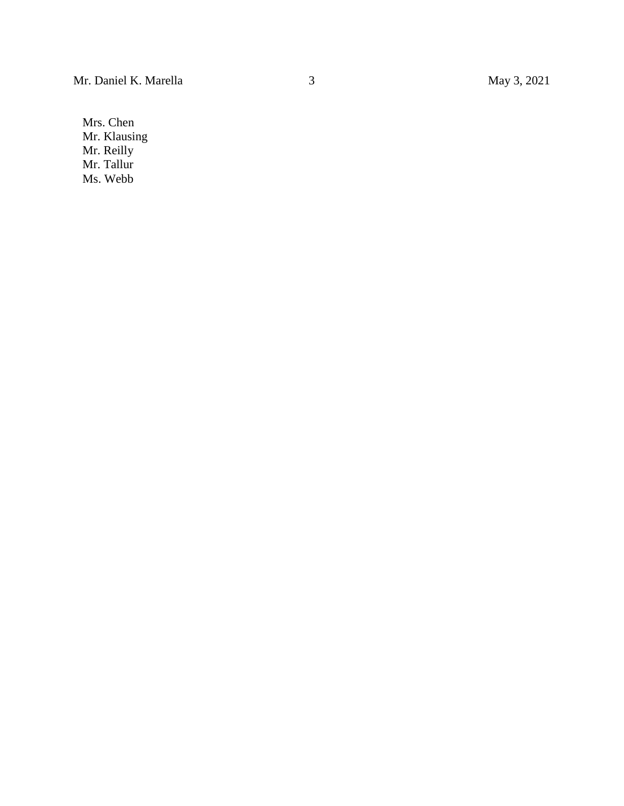Mrs. Chen Mr. Klausing Mr. Reilly Mr. Tallur Ms. Webb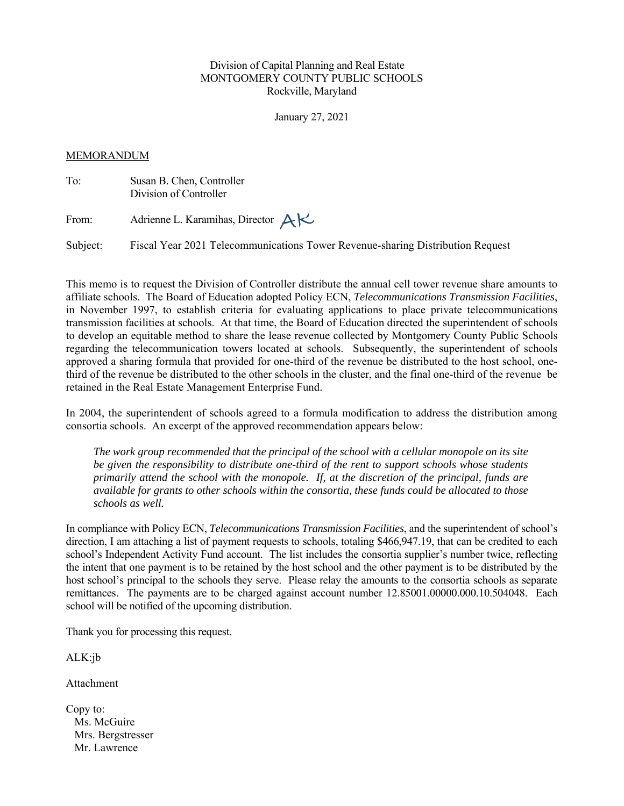### Division of Capital Planning and Real Estate MONTGOMERY COUNTY PUBLIC SCHOOLS Rockville, Maryland

January 27, 2021

#### MEMORANDUM

| To:   | Susan B. Chen, Controller<br>Division of Controller |  |  |
|-------|-----------------------------------------------------|--|--|
| From: | Adrienne L. Karamihas, Director $AK$                |  |  |

Subject: Fiscal Year 2021 Telecommunications Tower Revenue-sharing Distribution Request

This memo is to request the Division of Controller distribute the annual cell tower revenue share amounts to affiliate schools. The Board of Education adopted Policy ECN, *Telecommunications Transmission Facilities*, in November 1997, to establish criteria for evaluating applications to place private telecommunications transmission facilities at schools. At that time, the Board of Education directed the superintendent of schools to develop an equitable method to share the lease revenue collected by Montgomery County Public Schools regarding the telecommunication towers located at schools. Subsequently, the superintendent of schools approved a sharing formula that provided for one-third of the revenue be distributed to the host school, onethird of the revenue be distributed to the other schools in the cluster, and the final one-third of the revenue be retained in the Real Estate Management Enterprise Fund.

In 2004, the superintendent of schools agreed to a formula modification to address the distribution among consortia schools. An excerpt of the approved recommendation appears below:

*The work group recommended that the principal of the school with a cellular monopole on its site be given the responsibility to distribute one-third of the rent to support schools whose students primarily attend the school with the monopole. If, at the discretion of the principal, funds are available for grants to other schools within the consortia, these funds could be allocated to those schools as well.* 

In compliance with Policy ECN, *Telecommunications Transmission Facilities*, and the superintendent of school's direction, I am attaching a list of payment requests to schools, totaling \$466,947.19, that can be credited to each school's Independent Activity Fund account. The list includes the consortia supplier's number twice, reflecting the intent that one payment is to be retained by the host school and the other payment is to be distributed by the host school's principal to the schools they serve. Please relay the amounts to the consortia schools as separate remittances. The payments are to be charged against account number 12.85001.00000.000.10.504048. Each school will be notified of the upcoming distribution.

Thank you for processing this request.

ALK:jb

Attachment

| Copy to:          |
|-------------------|
| Ms. McGuire       |
| Mrs. Bergstresser |
| Mr. Lawrence      |